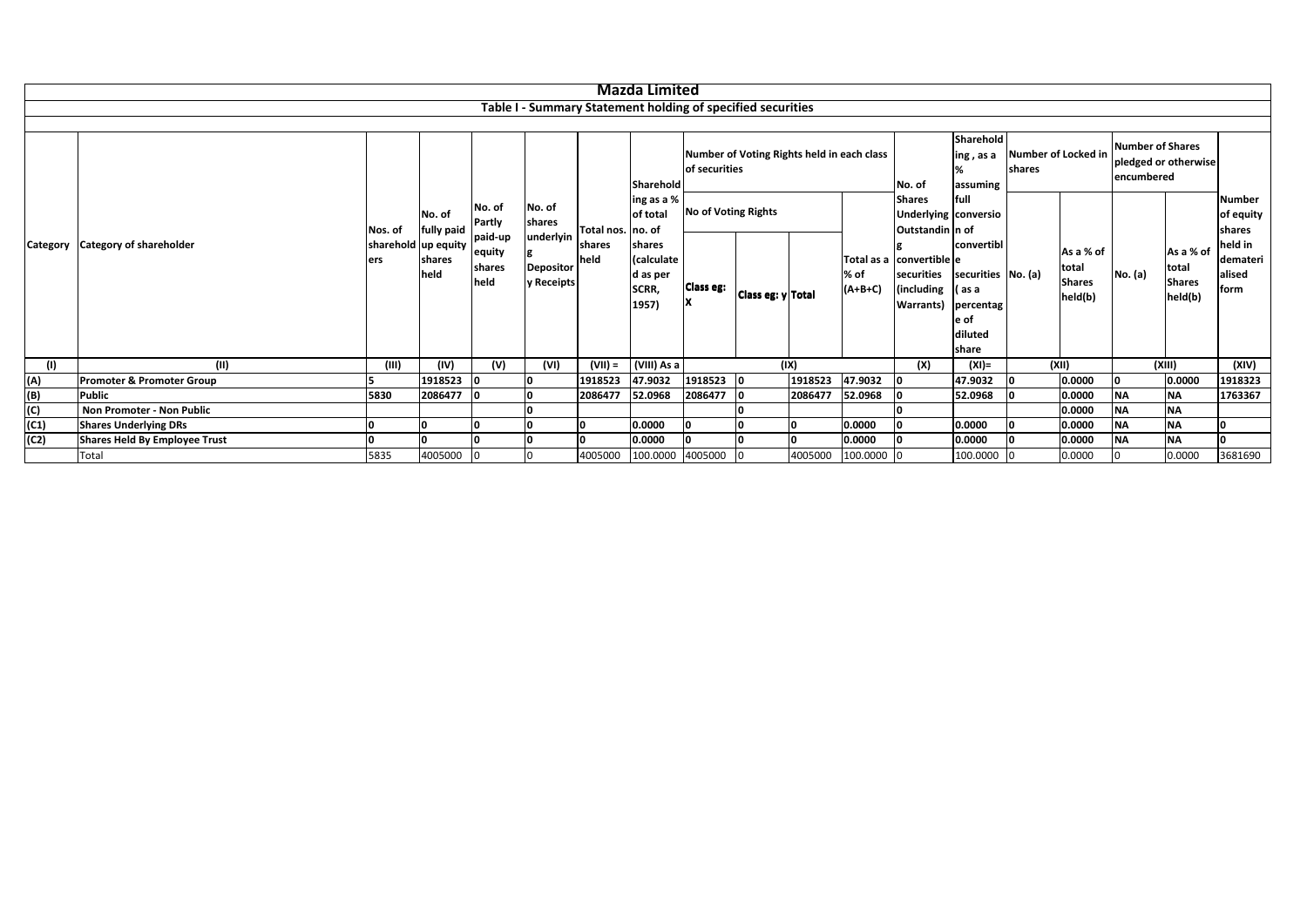|                 |                                                             |                |                                                               |                                                         |                                      |                | <b>Mazda Limited</b>              |                                                             |                   |         |                   |                                                                   |                                                 |                             |                                |                      |                                                |                                       |
|-----------------|-------------------------------------------------------------|----------------|---------------------------------------------------------------|---------------------------------------------------------|--------------------------------------|----------------|-----------------------------------|-------------------------------------------------------------|-------------------|---------|-------------------|-------------------------------------------------------------------|-------------------------------------------------|-----------------------------|--------------------------------|----------------------|------------------------------------------------|---------------------------------------|
|                 | Table I - Summary Statement holding of specified securities |                |                                                               |                                                         |                                      |                |                                   |                                                             |                   |         |                   |                                                                   |                                                 |                             |                                |                      |                                                |                                       |
|                 | <b>Category of shareholder</b>                              |                |                                                               |                                                         |                                      |                | Sharehold                         | Number of Voting Rights held in each class<br>of securities |                   |         | No. of            | Sharehold<br>ing , as a<br>shares<br>assuming                     |                                                 | Number of Locked in         | Number of Shares<br>encumbered | pledged or otherwise |                                                |                                       |
|                 |                                                             | Nos. of<br>ers | No. of<br>fully paid<br>sharehold up equity<br>shares<br>held | No. of<br>Partly<br>paid-up<br>equity<br>shares<br>held | No. of<br><b>shares</b><br>underlyin | Total nos.     | ling as a %<br>of total<br>no. of | <b>No of Voting Rights</b>                                  |                   |         |                   | <b>Shares</b>                                                     | full<br>Underlying conversio<br>Outstandin n of |                             |                                |                      |                                                | <b>Number</b><br>of equity<br>shares  |
| <b>Category</b> |                                                             |                |                                                               |                                                         | <b>Depositor</b>                     | shares<br>held | shares<br>(calculate              |                                                             |                   |         |                   | Total as a convertible e<br>securities<br>(including<br>Warrants) | convertibl                                      | total<br>securities No. (a) | As a % of                      |                      | As a % of<br>total<br><b>Shares</b><br>held(b) | held in<br>demateri<br>alised<br>form |
|                 |                                                             |                |                                                               |                                                         | y Receipts                           |                | d as per<br>SCRR,<br>1957)        | <b>Class eg:</b><br>x                                       | Class eg: y Total |         | % of<br>$(A+B+C)$ |                                                                   | l (as a<br>percentag                            |                             | <b>Shares</b><br>held(b)       | No. (a)              |                                                |                                       |
|                 |                                                             |                |                                                               |                                                         |                                      |                |                                   |                                                             |                   |         |                   |                                                                   | e of<br>diluted                                 |                             |                                |                      |                                                |                                       |
|                 |                                                             |                |                                                               |                                                         |                                      |                |                                   |                                                             |                   |         |                   |                                                                   | share                                           |                             |                                |                      |                                                |                                       |
| (1)             | (11)                                                        | (III)          | (IV)                                                          | (V)                                                     | (VI)                                 | $(VII) =$      | (VIII) As a                       |                                                             |                   | (IX)    |                   | (X)                                                               | $(XI) =$                                        |                             | (XII)                          | ١n                   | (XIII)                                         | (XIV)                                 |
| (A)             | Promoter & Promoter Group                                   |                | 1918523                                                       |                                                         | l0.<br>l n                           | 1918523        | 47.9032                           | 1918523<br>2086477                                          | ١o                | 1918523 | 47.9032           |                                                                   | 47.9032                                         |                             | 0.0000                         | <b>NA</b>            | 0.0000<br><b>NA</b>                            | 1918323                               |
| $(B)$<br>(C)    | <b>Public</b><br>Non Promoter - Non Public                  | 5830           | 2086477                                                       |                                                         |                                      | 2086477        | 52.0968                           |                                                             |                   | 2086477 | 52.0968           |                                                                   | 52.0968                                         |                             | 0.0000<br>0.0000               | <b>NA</b>            | <b>NA</b>                                      | 1763367                               |
| (C1)            | <b>Shares Underlying DRs</b>                                |                |                                                               |                                                         |                                      |                | 0.0000                            |                                                             |                   |         | 0.0000            |                                                                   | 0.0000                                          |                             | 0.0000                         | <b>NA</b>            | <b>NA</b>                                      | n                                     |
| (C2)            | Shares Held By Employee Trust                               |                |                                                               |                                                         |                                      |                | 0.0000                            |                                                             |                   |         | 0.0000            |                                                                   | 0.0000                                          |                             | 0.0000                         | <b>NA</b>            | <b>NA</b>                                      | n                                     |
|                 | Total                                                       | 5835           | 4005000                                                       |                                                         |                                      | 4005000        | 100.0000 4005000                  |                                                             |                   | 4005000 | 100.0000          |                                                                   | 100.0000                                        |                             | 0.0000                         |                      | 0.0000                                         | 3681690                               |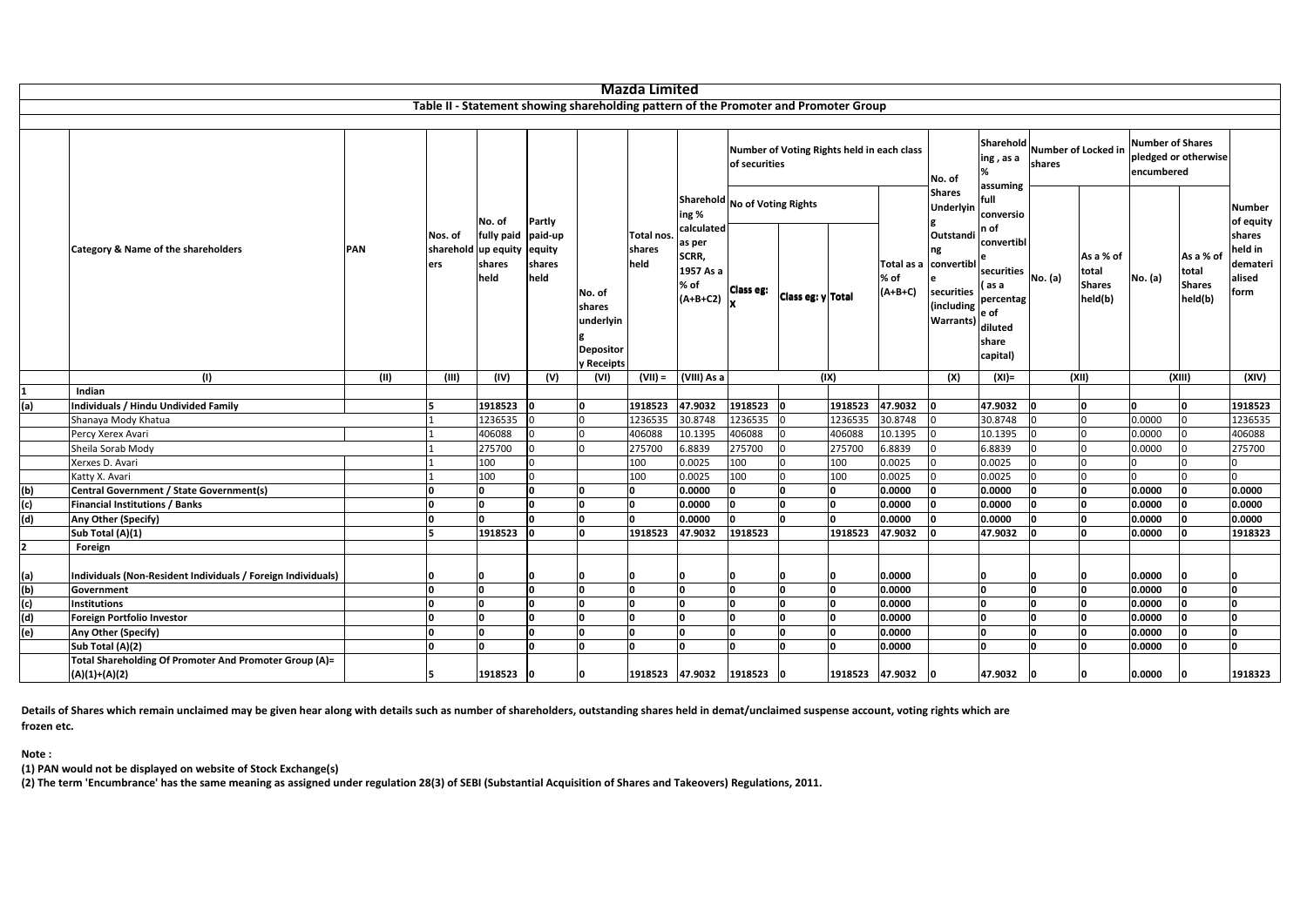|                |                                                                           |      |                             |                                           |                                     |                                                                                      | <b>Mazda Limited</b>         |                                                                           |                                                             |                   |                 |                   |                                                                                          |                                                                                                            |                               |                                                |                                                               |                                                |                                                 |
|----------------|---------------------------------------------------------------------------|------|-----------------------------|-------------------------------------------|-------------------------------------|--------------------------------------------------------------------------------------|------------------------------|---------------------------------------------------------------------------|-------------------------------------------------------------|-------------------|-----------------|-------------------|------------------------------------------------------------------------------------------|------------------------------------------------------------------------------------------------------------|-------------------------------|------------------------------------------------|---------------------------------------------------------------|------------------------------------------------|-------------------------------------------------|
|                |                                                                           |      |                             |                                           |                                     | Table II - Statement showing shareholding pattern of the Promoter and Promoter Group |                              |                                                                           |                                                             |                   |                 |                   |                                                                                          |                                                                                                            |                               |                                                |                                                               |                                                |                                                 |
|                |                                                                           |      |                             |                                           |                                     |                                                                                      |                              |                                                                           |                                                             |                   |                 |                   |                                                                                          |                                                                                                            |                               |                                                |                                                               |                                                |                                                 |
|                | Category & Name of the shareholders                                       |      |                             |                                           |                                     |                                                                                      | Total nos.<br>shares<br>held | ing %<br>calculated<br>as per<br>SCRR,<br>1957 As a<br>% of<br>$(A+B+C2)$ | Number of Voting Rights held in each class<br>of securities |                   |                 |                   | No. of                                                                                   | Sharehold<br>ing , as a<br>assuming                                                                        | Number of Locked in<br>shares |                                                | <b>Number of Shares</b><br>pledged or otherwise<br>encumbered |                                                |                                                 |
|                |                                                                           |      |                             | No. of                                    | Partly                              | No. of<br>shares<br>underlyin<br><b>Depositor</b><br><b>Receipts</b>                 |                              |                                                                           | Sharehold No of Voting Rights                               |                   |                 |                   | <b>Shares</b><br>Underlyin                                                               | full<br>conversio                                                                                          |                               |                                                |                                                               |                                                | Number<br>of equity                             |
|                |                                                                           | PAN  | Nos. of<br>sharehold<br>ers | fully paid<br>up equity<br>shares<br>held | paid-up<br>equity<br>shares<br>held |                                                                                      |                              |                                                                           | <b>Class eg:</b>                                            | Class eg: y Total |                 | % of<br>$(A+B+C)$ | Outstandi<br>ng<br>Total as a convertibl<br>securities<br>(including<br><b>Warrants)</b> | n of<br>convertibl<br>securities $ $ No. (a)<br>ass a<br>percentag<br>e of<br>diluted<br>share<br>capital) |                               | As a % of<br>total<br><b>Shares</b><br>held(b) | No. (a)                                                       | As a % of<br>total<br><b>Shares</b><br>held(b) | shares<br>held in<br>demateri<br>alised<br>form |
|                | (1)                                                                       | (II) | (III)                       | (IV)                                      | (V)                                 | (VI)                                                                                 | $(VII) =$                    | (VIII) As a                                                               |                                                             |                   | (IX)            |                   | (X)                                                                                      | $(XI) =$                                                                                                   |                               | (XII)                                          |                                                               | (XIII)                                         | (XIV)                                           |
|                | Indian                                                                    |      |                             |                                           |                                     |                                                                                      |                              |                                                                           |                                                             |                   |                 |                   |                                                                                          |                                                                                                            |                               |                                                |                                                               |                                                |                                                 |
| (a)            | <b>Individuals / Hindu Undivided Family</b>                               |      | Б                           | 1918523                                   |                                     | <sup>0</sup>                                                                         | 1918523                      | 47.9032                                                                   | 1918523                                                     | n                 | 1918523         | 47.9032           |                                                                                          | 47.9032                                                                                                    |                               | 'n                                             | l0.                                                           |                                                | 1918523                                         |
|                | Shanaya Mody Khatua                                                       |      |                             | 1236535                                   |                                     |                                                                                      | 1236535                      | 30.8748                                                                   | 1236535                                                     |                   | 1236535         | 30.8748           |                                                                                          | 30.8748                                                                                                    |                               | l <sub>0</sub>                                 | 0.0000                                                        |                                                | 1236535                                         |
|                | Percy Xerex Avari                                                         |      |                             | 406088                                    |                                     | $\Omega$                                                                             | 406088                       | 10.1395                                                                   | 406088                                                      |                   | 406088          | 10.1395           |                                                                                          | 10.1395                                                                                                    | l <sub>0</sub>                |                                                | 0.0000                                                        |                                                | 406088                                          |
|                | Sheila Sorab Mody                                                         |      |                             | 275700                                    |                                     |                                                                                      | 275700                       | 6.8839                                                                    | 275700                                                      |                   | 275700          | 6.8839            |                                                                                          | 6.8839                                                                                                     | l <sub>0</sub>                |                                                | 0.0000                                                        |                                                | 275700                                          |
|                | Xerxes D. Avari                                                           |      |                             | 100                                       |                                     |                                                                                      | 100                          | 0.0025                                                                    | 100                                                         |                   | 100             | 0.0025            |                                                                                          | 0.0025                                                                                                     | $\Omega$                      |                                                |                                                               |                                                |                                                 |
|                | Katty X. Avari                                                            |      |                             | 100                                       |                                     |                                                                                      | 100                          | 0.0025                                                                    | 100                                                         | <sup>0</sup>      | 100             | 0.0025            |                                                                                          | 0.0025                                                                                                     | l n                           | <sup>0</sup>                                   |                                                               |                                                |                                                 |
| (b)            | Central Government / State Government(s)                                  |      | 0                           | n                                         |                                     | n                                                                                    | 0                            | 0.0000                                                                    | n                                                           | O                 | I٥              | 0.0000            |                                                                                          | 0.0000                                                                                                     | 0                             | 0                                              | 0.0000                                                        | n                                              | 0.0000                                          |
| (c)            | <b>Financial Institutions / Banks</b>                                     |      | n                           |                                           |                                     |                                                                                      | o                            | 0.0000                                                                    |                                                             | <b>n</b>          | ١o              | 0.0000            |                                                                                          | 0.0000                                                                                                     | ١o                            | 'n                                             | 0.0000                                                        |                                                | 0.0000                                          |
| (d)            | Any Other (Specify)                                                       |      | 0                           | n                                         |                                     | n                                                                                    | o                            | 0.0000                                                                    |                                                             | n                 | ١o              | 0.0000            |                                                                                          | 0.0000                                                                                                     | ١o                            | 'n                                             | 0.0000                                                        |                                                | 0.0000                                          |
|                | Sub Total (A)(1)                                                          |      | 5                           | 1918523                                   |                                     |                                                                                      | 1918523                      | 47.9032                                                                   | 1918523                                                     |                   | 1918523         | 47.9032           |                                                                                          | 47.9032                                                                                                    | ١o                            | 'n                                             | 0.0000                                                        |                                                | 1918323                                         |
| $\overline{2}$ | Foreign                                                                   |      |                             |                                           |                                     |                                                                                      |                              |                                                                           |                                                             |                   |                 |                   |                                                                                          |                                                                                                            |                               |                                                |                                                               |                                                |                                                 |
|                |                                                                           |      |                             |                                           |                                     |                                                                                      |                              |                                                                           |                                                             |                   |                 |                   |                                                                                          |                                                                                                            |                               |                                                |                                                               |                                                |                                                 |
| (a)            | Individuals (Non-Resident Individuals / Foreign Individuals)              |      |                             |                                           |                                     |                                                                                      | n                            |                                                                           |                                                             | n                 |                 | 0.0000            |                                                                                          | n                                                                                                          | n                             | n                                              | 0.0000                                                        |                                                |                                                 |
| (b)            | Government                                                                |      | ١o                          | ١n                                        | ١n                                  | n                                                                                    | I٥                           | ١o                                                                        | n                                                           | O                 | ١o              | 0.0000            |                                                                                          | n                                                                                                          | ١o                            | n                                              | 0.0000                                                        |                                                | <b>n</b>                                        |
| (c)            | Institutions                                                              |      | O                           |                                           | <sup>0</sup>                        | U                                                                                    | o                            | n                                                                         |                                                             | n                 | I٥              | 0.0000            |                                                                                          |                                                                                                            | o                             | n                                              | 0.0000                                                        |                                                | n                                               |
| (d)            | Foreign Portfolio Investor                                                |      | $\Omega$                    |                                           |                                     |                                                                                      | o                            |                                                                           |                                                             | n                 | ١o              | 0.0000            |                                                                                          |                                                                                                            | ١o                            | n                                              | 0.0000                                                        |                                                | n                                               |
| (e)            | Any Other (Specify)                                                       |      | $\Omega$                    |                                           |                                     | n                                                                                    | o                            | 'n                                                                        |                                                             | n                 | ١n              | 0.0000            |                                                                                          |                                                                                                            | o                             | n                                              | 0.0000                                                        |                                                | n                                               |
|                | Sub Total (A)(2)                                                          |      | 'n                          |                                           | n                                   |                                                                                      | o                            | n                                                                         |                                                             | n                 | ١n              | 0.0000            |                                                                                          |                                                                                                            | ١n                            | n                                              | 0.0000                                                        |                                                | n                                               |
|                | Total Shareholding Of Promoter And Promoter Group (A)=<br>$(A)(1)+(A)(2)$ |      |                             | 1918523                                   |                                     |                                                                                      | 1918523 47.9032              |                                                                           | 1918523                                                     |                   | 1918523 47.9032 |                   |                                                                                          | 47.9032                                                                                                    | ١o                            | n                                              | 0.0000                                                        |                                                | 1918323                                         |

Details of Shares which remain unclaimed may be given hear along with details such as number of shareholders, outstanding shares held in demat/unclaimed suspense account, voting rights which are **frozen etc.**

**Note :**

**(1) PAN would not be displayed on website of Stock Exchange(s)**

(2) The term 'Encumbrance' has the same meaning as assigned under regulation 28(3) of SEBI (Substantial Acquisition of Shares and Takeovers) Regulations, 2011.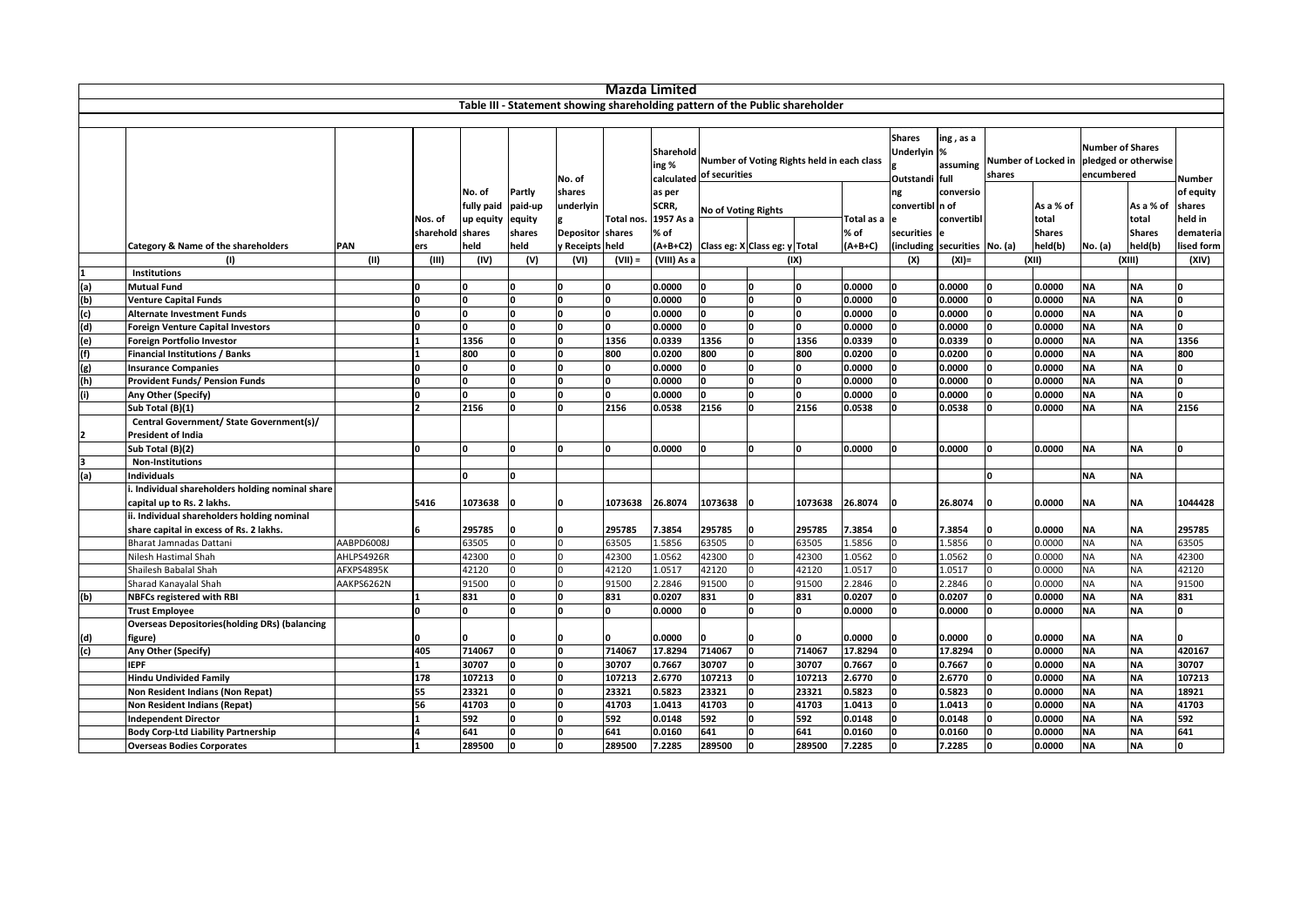|     |                                                       |            |                  |                    |         |                                                                              | Mazda Limited  |                    |                            |                                            |                |                  |                                                |                               |          |                     |                                       |                        |              |
|-----|-------------------------------------------------------|------------|------------------|--------------------|---------|------------------------------------------------------------------------------|----------------|--------------------|----------------------------|--------------------------------------------|----------------|------------------|------------------------------------------------|-------------------------------|----------|---------------------|---------------------------------------|------------------------|--------------|
|     |                                                       |            |                  |                    |         | Table III - Statement showing shareholding pattern of the Public shareholder |                |                    |                            |                                            |                |                  |                                                |                               |          |                     |                                       |                        |              |
|     |                                                       |            |                  |                    |         |                                                                              |                |                    |                            |                                            |                |                  |                                                |                               |          |                     |                                       |                        |              |
|     |                                                       |            |                  |                    |         | No. of                                                                       |                | Sharehold<br>ing % | calculated of securities   | Number of Voting Rights held in each class |                |                  | <b>Shares</b><br>Underlyin %<br>Outstandi full | ing, as a<br>assuming         | shares   | Number of Locked in | <b>Number of Shares</b><br>encumbered | pledged or otherwise   | Number       |
|     |                                                       |            |                  | No. of             | Partly  | shares                                                                       |                | as per             |                            |                                            |                |                  | ng                                             | conversio                     |          |                     |                                       |                        | of equity    |
|     |                                                       |            |                  | fully paid paid-up |         | underlyin                                                                    |                | SCRR,              |                            |                                            |                |                  | convertibl n of                                |                               |          | As a % of           |                                       | As a % of              | shares       |
|     |                                                       |            | Nos. of          | up equity          | equity  |                                                                              | Total nos.     | 1957 As a          | <b>No of Voting Rights</b> |                                            |                | Total as a e     |                                                | convertibl                    |          | total               |                                       | total                  | held in      |
|     |                                                       |            | sharehold shares |                    | shares  | Depositor shares                                                             |                | % of               |                            |                                            |                | % of             | securities                                     |                               |          | <b>Shares</b>       |                                       | <b>Shares</b>          | demateria    |
|     | Category & Name of the shareholders                   | <b>PAN</b> | ers              | held               | held    | y Receipts held                                                              |                |                    |                            | (A+B+C2) Class eg: X Class eg: y Total     |                | $(A+B+C)$        |                                                | (including securities No. (a) |          | held(b)             | No. (a)                               | held(b)                | lised form   |
|     | (1)                                                   | (11)       | (III)            | (IV)               | (V)     | (VI)                                                                         | $(VII) =$      | (VIII) As a        |                            |                                            | (IX)           |                  | (X)                                            | $(XI) =$                      |          | (XII)               |                                       | (XIII)                 | (XIV)        |
|     | <b>Institutions</b>                                   |            |                  |                    |         |                                                                              |                |                    |                            |                                            |                |                  |                                                |                               |          |                     |                                       |                        |              |
| (a) | <b>Mutual Fund</b>                                    |            | 'n               |                    |         | O                                                                            | O              | 0.0000             |                            | <sup>0</sup>                               |                | 0.0000           | <b>n</b>                                       | 0.0000                        | O        | 0.0000              | <b>NA</b>                             | <b>NA</b>              | n            |
| (b) | <b>Venture Capital Funds</b>                          |            | I∩               |                    |         | O                                                                            | n              | 0.0000             |                            | n                                          |                | 0.0000           | $\Omega$                                       | 0.0000                        | U        | 0.0000              | <b>NA</b>                             | <b>NA</b>              | O            |
| (c) | <b>Alternate Investment Funds</b>                     |            | 'n               |                    | n       | 'n                                                                           | 0              | 0.0000             |                            | <sup>0</sup>                               |                | 0.0000           | n                                              | 0.0000                        | n        | 0.0000              | <b>NA</b>                             | <b>NA</b>              | O            |
| (d) | <b>Foreign Venture Capital Investors</b>              |            |                  |                    |         | O                                                                            | 0.             | 0.0000             |                            | n                                          |                | 0.0000           | n                                              | 0.0000                        | n        | 0.0000              | <b>NA</b>                             | <b>NA</b>              | o            |
| (e) | Foreign Portfolio Investor                            |            |                  | 1356               | O       | o                                                                            | 1356           | 0.0339             | 1356                       | O                                          | 1356           | 0.0339           | $\Omega$                                       | 0.0339                        | 0        | 0.0000              | <b>NA</b>                             | <b>NA</b>              | 1356         |
| (f) | <b>Financial Institutions / Banks</b>                 |            |                  | 800                | O       | O                                                                            | 800            | 0.0200             | 800                        | O                                          | 800            | 0.0200           |                                                | 0.0200                        | O        | 0.0000              | <b>NA</b>                             | <b>NA</b>              | 800          |
| (g) | <b>Insurance Companies</b>                            |            | I۵               |                    | n       | n                                                                            | O              | 0.0000             | n                          | O                                          |                | 0.0000           |                                                | 0.0000                        | n        | 0.0000              | <b>NA</b>                             | <b>NA</b>              | O            |
| (h) | Provident Funds/ Pension Funds                        |            | 'n               |                    |         | O                                                                            | O              | 0.0000             |                            | O                                          | O              | 0.0000           |                                                | 0.0000                        | n        | 0.0000              | <b>NA</b>                             | <b>NA</b>              | O            |
| (i) | Any Other (Specify)                                   |            | 'n               |                    |         | O                                                                            | O              | 0.0000             |                            | O                                          |                | 0.0000           |                                                | 0.0000                        |          | 0.0000              | <b>NA</b>                             | <b>NA</b>              | O            |
|     | Sub Total (B)(1)                                      |            |                  | 2156               |         | n                                                                            | 2156           | 0.0538             | 2156                       | <sup>0</sup>                               | 2156           | 0.0538           |                                                | 0.0538                        |          | 0.0000              | <b>NA</b>                             | <b>NA</b>              | 2156         |
|     | Central Government/ State Government(s)/              |            |                  |                    |         |                                                                              |                |                    |                            |                                            |                |                  |                                                |                               |          |                     |                                       |                        |              |
|     | <b>President of India</b>                             |            |                  |                    |         |                                                                              |                |                    |                            |                                            |                |                  |                                                |                               |          |                     |                                       |                        |              |
|     | Sub Total (B)(2)                                      |            | O                |                    | O       | n                                                                            | O              | 0.0000             |                            | O                                          |                | 0.0000           |                                                | 0.0000                        | O        | 0.0000              | <b>NA</b>                             | <b>NA</b>              | o            |
|     | <b>Non-Institutions</b>                               |            |                  |                    |         |                                                                              |                |                    |                            |                                            |                |                  |                                                |                               |          |                     |                                       |                        |              |
| (a) | <b>Individuals</b>                                    |            |                  |                    | n       |                                                                              |                |                    |                            |                                            |                |                  |                                                |                               | O        |                     | <b>NA</b>                             | <b>NA</b>              |              |
|     | Individual shareholders holding nominal share         |            |                  |                    |         |                                                                              |                |                    |                            |                                            |                |                  |                                                |                               |          |                     |                                       |                        |              |
|     | capital up to Rs. 2 lakhs.                            |            | 5416             | 1073638            |         | U                                                                            | 1073638        | 26.8074            | 1073638                    |                                            | 1073638        | 26.8074          |                                                | 26.8074                       |          | 0.0000              | <b>NA</b>                             | <b>NA</b>              | 1044428      |
|     | ii. Individual shareholders holding nominal           |            |                  |                    |         |                                                                              |                |                    |                            |                                            |                |                  |                                                |                               |          |                     |                                       |                        |              |
|     | share capital in excess of Rs. 2 lakhs.               |            |                  | 295785             |         |                                                                              | 295785         | .3854              | 295785                     |                                            | 295785         | 7.3854           |                                                | 7.3854                        |          | 0.0000              | <b>NA</b>                             | <b>NA</b>              | 295785       |
|     | Bharat Jamnadas Dattani                               | AABPD6008J |                  | 63505              |         |                                                                              | 63505          | L.5856             | 63505                      |                                            | 63505          | 1.5856           |                                                | 1.5856                        |          | 0.0000              | <b>NA</b>                             | <b>NA</b>              | 63505        |
|     | Nilesh Hastimal Shah                                  | AHLPS4926R |                  | 42300              |         |                                                                              | 42300          | 1.0562             | 42300                      |                                            | 42300          | 1.0562           |                                                | 1.0562                        |          | 0.0000              | <b>NA</b>                             | <b>NA</b>              | 42300        |
|     | Shailesh Babalal Shah                                 | AFXPS4895K |                  | 42120              |         |                                                                              | 42120          | 1.0517             | 42120                      |                                            | 42120          | 1.0517           |                                                | 1.0517                        |          | 0.0000              | <b>NA</b>                             | <b>NA</b>              | 42120        |
|     | Sharad Kanayalal Shah                                 | AAKPS6262N |                  | 91500              |         |                                                                              | 91500          | 2.2846             | 91500                      |                                            | 91500          | 2.2846           |                                                | 2.2846                        |          | 0.0000              | <b>NA</b>                             | <b>NA</b>              | 91500        |
| (b) | <b>NBFCs registered with RBI</b>                      |            |                  | 831                | n       |                                                                              | 831            | 0.0207             | 831                        | <b>n</b>                                   | 831            | 0.0207           |                                                | 0.0207                        |          | 0.0000              | <b>NA</b>                             | <b>NA</b>              | 831          |
|     | <b>Trust Employee</b>                                 |            | I∩               |                    | n       | U                                                                            | n              | 0.0000             |                            | n                                          |                | 0.0000           |                                                | 0.0000                        |          | 0.0000              | <b>NA</b>                             | <b>NA</b>              | O            |
|     | <b>Overseas Depositories (holding DRs) (balancing</b> |            |                  |                    |         |                                                                              |                |                    |                            |                                            |                |                  |                                                |                               |          |                     |                                       |                        |              |
| (d) | figure)                                               |            |                  |                    |         | o                                                                            |                | 0.0000             |                            | O                                          |                | 0.0000           |                                                | 0.0000                        |          | 0.0000              | <b>NA</b>                             | <b>NA</b>              | <sup>0</sup> |
| (c) | Any Other (Specify)                                   |            | 405              | 714067             | o       | O                                                                            | 714067         | 17.8294            | 714067                     |                                            | 714067         | 17.8294          |                                                | 17.8294                       |          | 0.0000              | <b>NA</b>                             | <b>NA</b>              | 420167       |
|     | <b>IEPF</b>                                           |            |                  | 30707              | n       |                                                                              | 30707          | 0.7667             | 30707                      |                                            | 30707          | 0.7667           |                                                | 0.7667                        |          | 0.0000              | <b>NA</b>                             | <b>NA</b>              | 30707        |
|     | <b>Hindu Undivided Family</b>                         |            | 178              | 107213             | n       | O                                                                            | 107213         | 2.6770             | 107213                     |                                            | 107213         | 2.6770           |                                                | 2.6770                        |          | 0.0000              | <b>NA</b>                             | <b>NA</b>              | 107213       |
|     | Non Resident Indians (Non Repat)                      |            | 55<br>56         | 23321<br>41703     | n<br>I۵ |                                                                              | 23321<br>41703 | 0.5823             | 23321                      |                                            | 23321<br>41703 | 0.5823           |                                                | 0.5823                        |          | 0.0000              | <b>NA</b>                             | <b>NA</b><br><b>NA</b> | 18921        |
|     | Non Resident Indians (Repat)                          |            |                  |                    |         |                                                                              |                | 1.0413             | 41703                      | $\Omega$                                   |                | 1.0413           |                                                | 1.0413                        |          | 0.0000              | <b>NA</b>                             |                        | 41703        |
|     | <b>Independent Director</b>                           |            |                  | 592                | n<br>o  | n<br>O                                                                       | 592            | 0.0148             | 592<br>641                 |                                            | 592<br>641     | 0.0148           |                                                | 0.0148                        |          | 0.0000              | <b>NA</b>                             | <b>NA</b><br><b>NA</b> | 592<br>641   |
|     | <b>Body Corp-Ltd Liability Partnership</b>            |            | 1                | 641<br>289500      | o       | ١o                                                                           | 641<br>289500  | 0.0160<br>7.2285   | 289500                     | O<br>O                                     | 289500         | 0.0160<br>7.2285 | ١n                                             | 0.0160<br>7.2285              | $\Omega$ | 0.0000<br>0.0000    | <b>NA</b><br><b>NA</b>                | <b>NA</b>              | ō            |
|     | <b>Overseas Bodies Corporates</b>                     |            |                  |                    |         |                                                                              |                |                    |                            |                                            |                |                  |                                                |                               |          |                     |                                       |                        |              |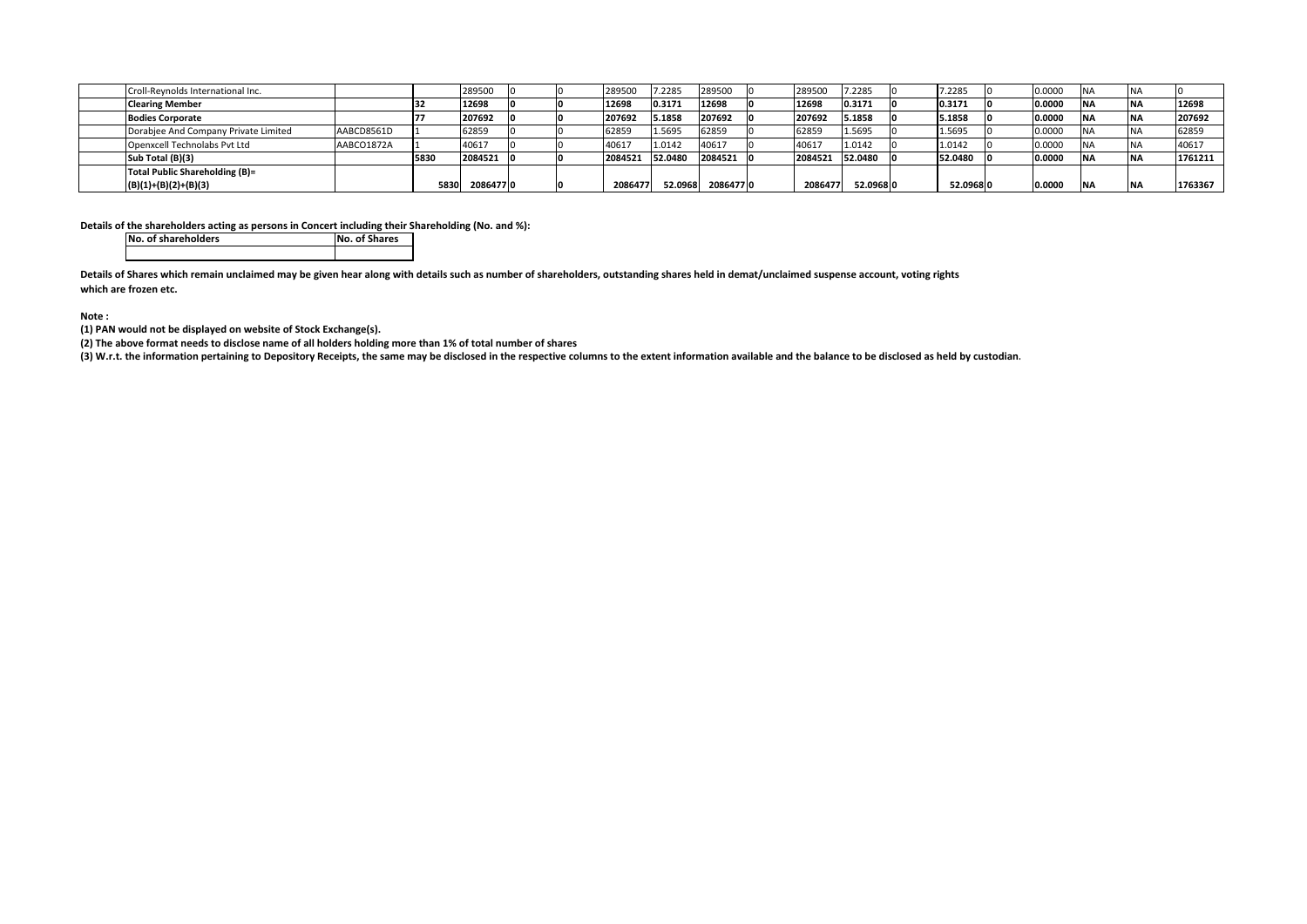| Croll-Reynolds International Inc.    |            |      | 289500   |  | 289500  | 7.2285  | 289500   | 289500  | 7.2285    | 7.2285    | 0.0000 | <b>NA</b>  |         |
|--------------------------------------|------------|------|----------|--|---------|---------|----------|---------|-----------|-----------|--------|------------|---------|
| <b>Clearing Member</b>               |            | 132  | 12698    |  | 12698   | 0.3171  | 12698    | 12698   | 0.3171    | 0.3171    | 0.0000 | <b>NA</b>  | 12698   |
| <b>Bodies Corporate</b>              |            |      | 207692   |  | 207692  | 5.1858  | 207692   | 207692  | 5.1858    | 5.1858    | 0.0000 | <b>NA</b>  | 207692  |
| Dorabjee And Company Private Limited | AABCD8561D |      | 62859    |  | 62859   | 1.5695  | 62859    | 62859   | 1.5695    | 1.5695    | 0.0000 | <b>NA</b>  | 62859   |
| Openxcell Technolabs Pvt Ltd         | AABCO1872A |      | 40617    |  | 40617   | 1.0142  | 40617    | 40617   | 1.0142    | 1.0142    | 0.0000 |            | 40617   |
| Sub Total (B)(3)                     |            | 5830 | 2084521  |  | 2084521 | 52.0480 | 2084521  | 2084521 | 52.0480   | 52.0480   | 0.0000 | <b>INA</b> | 1761211 |
| Total Public Shareholding (B)=       |            |      |          |  |         |         |          |         |           |           |        |            |         |
| $(B)(1)+(B)(2)+(B)(3)$               |            | 5830 | 20864770 |  | 2086477 | 52.0968 | 20864770 | 2086477 | 52.096810 | 52.096810 | 0.0000 | <b>NA</b>  | 1763367 |

**Details of the shareholders acting as persons in Concert including their Shareholding (No. and %):**

**No. of shareholders No. of Shares**No. of Shares

Details of Shares which remain unclaimed may be given hear along with details such as number of shareholders, outstanding shares held in demat/unclaimed suspense account, voting rights **which are frozen etc.**

**Note :**

**(1) PAN would not be displayed on website of Stock Exchange(s).**

(2) The above format needs to disclose name of all holders holding more than 1% of total number of shares

(3) W.r.t. the information pertaining to Depository Receipts, the same may be disclosed in the respective columns to the extent information available and the balance to be disclosed as held by custodian.